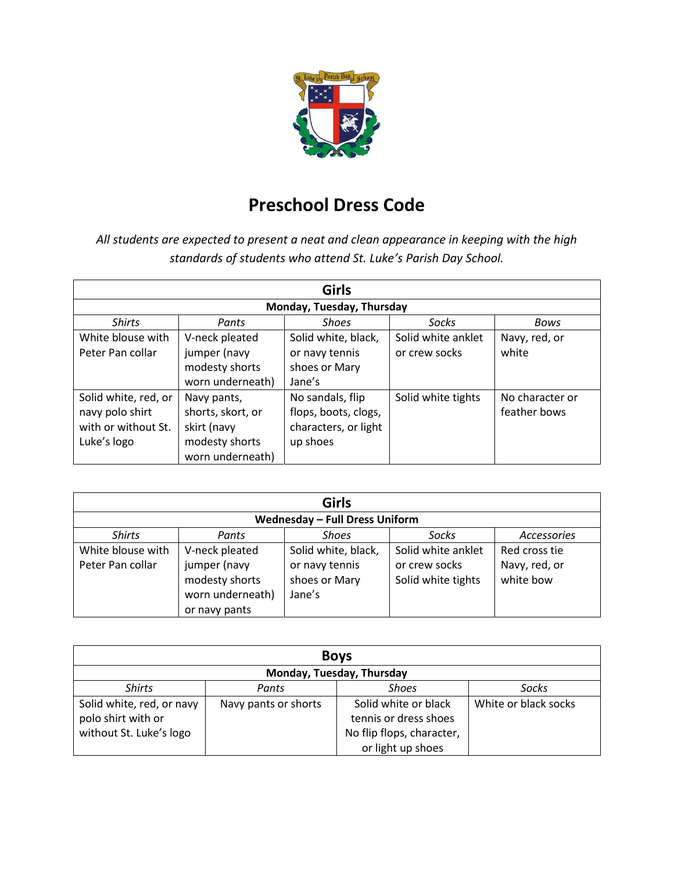

# **Preschool Dress Code**

*All students are expected to present a neat and clean appearance in keeping with the high standards of students who attend St. Luke's Parish Day School.* 

| <b>Girls</b>              |                   |                      |                    |                 |  |
|---------------------------|-------------------|----------------------|--------------------|-----------------|--|
| Monday, Tuesday, Thursday |                   |                      |                    |                 |  |
| <b>Shirts</b>             | Pants             | <b>Shoes</b>         | Socks              | Bows            |  |
| White blouse with         | V-neck pleated    | Solid white, black,  | Solid white anklet | Navy, red, or   |  |
| Peter Pan collar          | jumper (navy      | or navy tennis       | or crew socks      | white           |  |
|                           | modesty shorts    | shoes or Mary        |                    |                 |  |
|                           | worn underneath)  | Jane's               |                    |                 |  |
| Solid white, red, or      | Navy pants,       | No sandals, flip     | Solid white tights | No character or |  |
| navy polo shirt           | shorts, skort, or | flops, boots, clogs, |                    | feather bows    |  |
| with or without St.       | skirt (navy       | characters, or light |                    |                 |  |
| Luke's logo               | modesty shorts    | up shoes             |                    |                 |  |
|                           | worn underneath)  |                      |                    |                 |  |

| <b>Girls</b>                          |                  |                     |                    |                    |
|---------------------------------------|------------------|---------------------|--------------------|--------------------|
| <b>Wednesday - Full Dress Uniform</b> |                  |                     |                    |                    |
| <b>Shirts</b>                         | Pants            | <b>Shoes</b>        | Socks              | <b>Accessories</b> |
| White blouse with                     | V-neck pleated   | Solid white, black, | Solid white anklet | Red cross tie      |
| Peter Pan collar                      | jumper (navy     | or navy tennis      | or crew socks      | Navy, red, or      |
|                                       | modesty shorts   | shoes or Mary       | Solid white tights | white bow          |
|                                       | worn underneath) | Jane's              |                    |                    |
|                                       | or navy pants    |                     |                    |                    |

| <b>Boys</b>                                                                |                      |                                                                                                 |                      |  |
|----------------------------------------------------------------------------|----------------------|-------------------------------------------------------------------------------------------------|----------------------|--|
| Monday, Tuesday, Thursday                                                  |                      |                                                                                                 |                      |  |
| <b>Shirts</b>                                                              | Pants                | <b>Shoes</b>                                                                                    | Socks                |  |
| Solid white, red, or navy<br>polo shirt with or<br>without St. Luke's logo | Navy pants or shorts | Solid white or black<br>tennis or dress shoes<br>No flip flops, character,<br>or light up shoes | White or black socks |  |